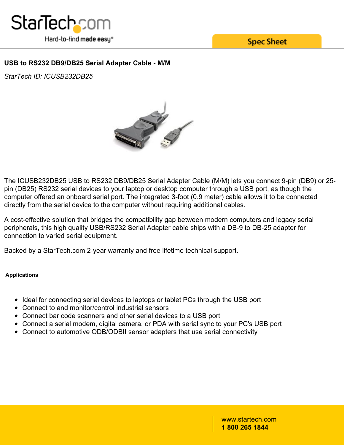

**Spec Sheet** 

## **USB to RS232 DB9/DB25 Serial Adapter Cable - M/M**

*StarTech ID: ICUSB232DB25*



The ICUSB232DB25 USB to RS232 DB9/DB25 Serial Adapter Cable (M/M) lets you connect 9-pin (DB9) or 25 pin (DB25) RS232 serial devices to your laptop or desktop computer through a USB port, as though the computer offered an onboard serial port. The integrated 3-foot (0.9 meter) cable allows it to be connected directly from the serial device to the computer without requiring additional cables.

A cost-effective solution that bridges the compatibility gap between modern computers and legacy serial peripherals, this high quality USB/RS232 Serial Adapter cable ships with a DB-9 to DB-25 adapter for connection to varied serial equipment.

Backed by a StarTech.com 2-year warranty and free lifetime technical support.

## **Applications**

- Ideal for connecting serial devices to laptops or tablet PCs through the USB port
- Connect to and monitor/control industrial sensors
- Connect bar code scanners and other serial devices to a USB port
- Connect a serial modem, digital camera, or PDA with serial sync to your PC's USB port
- Connect to automotive ODB/ODBII sensor adapters that use serial connectivity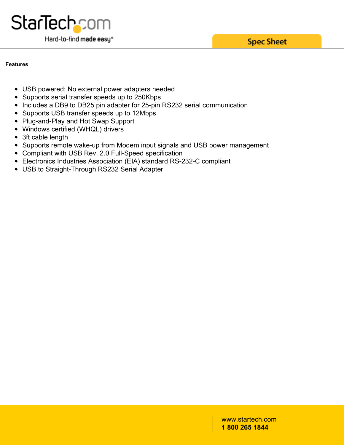**Spec Sheet** 



### **Features**

- USB powered; No external power adapters needed
- Supports serial transfer speeds up to 250Kbps
- Includes a DB9 to DB25 pin adapter for 25-pin RS232 serial communication
- Supports USB transfer speeds up to 12Mbps
- Plug-and-Play and Hot Swap Support
- Windows certified (WHQL) drivers
- 3ft cable length
- Supports remote wake-up from Modem input signals and USB power management
- Compliant with USB Rev. 2.0 Full-Speed specification
- Electronics Industries Association (EIA) standard RS-232-C compliant
- USB to Straight-Through RS232 Serial Adapter

www.startech.com **1 800 265 1844**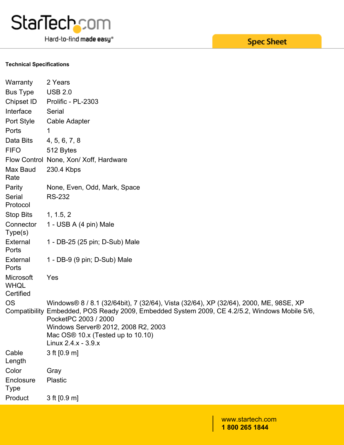

Hard-to-find made easy®

# **Spec Sheet**

#### **Technical Specifications**

| Warranty                              | 2 Years                                                                                                                                                                                                                                                                                             |
|---------------------------------------|-----------------------------------------------------------------------------------------------------------------------------------------------------------------------------------------------------------------------------------------------------------------------------------------------------|
| <b>Bus Type</b>                       | <b>USB 2.0</b>                                                                                                                                                                                                                                                                                      |
| Chipset ID                            | Prolific - PL-2303                                                                                                                                                                                                                                                                                  |
| Interface                             | Serial                                                                                                                                                                                                                                                                                              |
| Port Style                            | Cable Adapter                                                                                                                                                                                                                                                                                       |
| Ports                                 |                                                                                                                                                                                                                                                                                                     |
| Data Bits                             | 4, 5, 6, 7, 8                                                                                                                                                                                                                                                                                       |
| <b>FIFO</b>                           | 512 Bytes                                                                                                                                                                                                                                                                                           |
|                                       | Flow Control None, Xon/ Xoff, Hardware                                                                                                                                                                                                                                                              |
| Max Baud<br>Rate                      | 230.4 Kbps                                                                                                                                                                                                                                                                                          |
| Parity                                | None, Even, Odd, Mark, Space                                                                                                                                                                                                                                                                        |
| Serial<br>Protocol                    | <b>RS-232</b>                                                                                                                                                                                                                                                                                       |
| <b>Stop Bits</b>                      | 1, 1.5, 2                                                                                                                                                                                                                                                                                           |
| Connector<br>Type(s)                  | 1 - USB A (4 pin) Male                                                                                                                                                                                                                                                                              |
| External<br>Ports                     | 1 - DB-25 (25 pin; D-Sub) Male                                                                                                                                                                                                                                                                      |
| External<br>Ports                     | 1 - DB-9 (9 pin; D-Sub) Male                                                                                                                                                                                                                                                                        |
| Microsoft<br><b>WHQL</b><br>Certified | Yes                                                                                                                                                                                                                                                                                                 |
| <b>OS</b><br>Compatibility            | Windows® 8 / 8.1 (32/64bit), 7 (32/64), Vista (32/64), XP (32/64), 2000, ME, 98SE, XP<br>Embedded, POS Ready 2009, Embedded System 2009, CE 4.2/5.2, Windows Mobile 5/6,<br>PocketPC 2003 / 2000<br>Windows Server® 2012, 2008 R2, 2003<br>Mac OS® 10.x (Tested up to 10.10)<br>Linux 2.4.x - 3.9.x |
| Cable<br>Length                       | 3 ft [0.9 m]                                                                                                                                                                                                                                                                                        |
| Color                                 | Gray                                                                                                                                                                                                                                                                                                |
| Enclosure<br><b>Type</b>              | Plastic                                                                                                                                                                                                                                                                                             |
| Product                               | 3 ft [0.9 m]                                                                                                                                                                                                                                                                                        |
|                                       |                                                                                                                                                                                                                                                                                                     |

www.startech.com **1 800 265 1844**